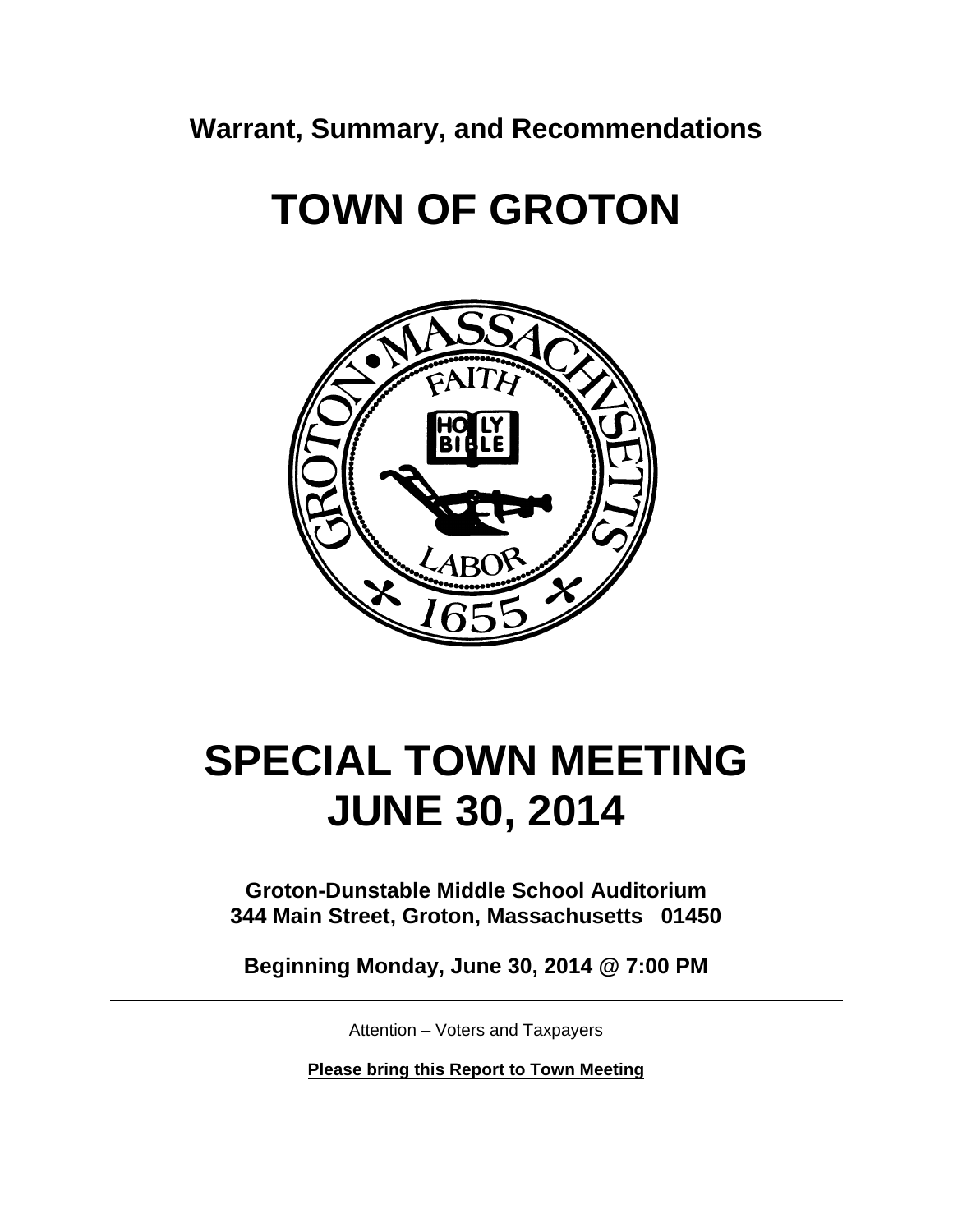**Warrant, Summary, and Recommendations** 

**TOWN OF GROTON** 



# **SPECIAL TOWN MEETING JUNE 30, 2014**

**Groton-Dunstable Middle School Auditorium 344 Main Street, Groton, Massachusetts 01450** 

**Beginning Monday, June 30, 2014 @ 7:00 PM** 

Attention – Voters and Taxpayers

**Please bring this Report to Town Meeting**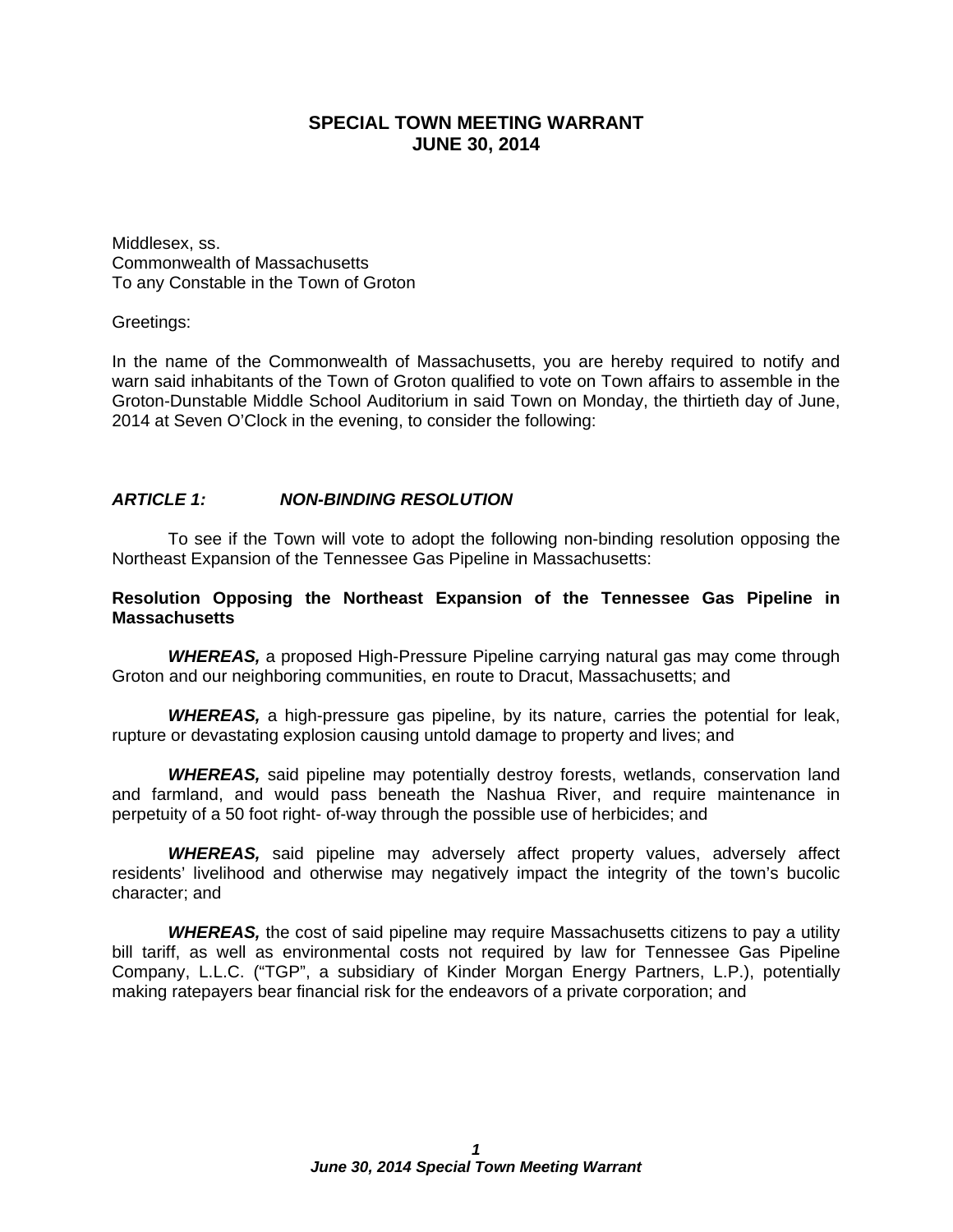## **SPECIAL TOWN MEETING WARRANT JUNE 30, 2014**

Middlesex, ss. Commonwealth of Massachusetts To any Constable in the Town of Groton

Greetings:

In the name of the Commonwealth of Massachusetts, you are hereby required to notify and warn said inhabitants of the Town of Groton qualified to vote on Town affairs to assemble in the Groton-Dunstable Middle School Auditorium in said Town on Monday, the thirtieth day of June, 2014 at Seven O'Clock in the evening, to consider the following:

### *ARTICLE 1: NON-BINDING RESOLUTION*

To see if the Town will vote to adopt the following non-binding resolution opposing the Northeast Expansion of the Tennessee Gas Pipeline in Massachusetts:

#### **Resolution Opposing the Northeast Expansion of the Tennessee Gas Pipeline in Massachusetts**

*WHEREAS,* a proposed High-Pressure Pipeline carrying natural gas may come through Groton and our neighboring communities, en route to Dracut, Massachusetts; and

*WHEREAS,* a high-pressure gas pipeline, by its nature, carries the potential for leak, rupture or devastating explosion causing untold damage to property and lives; and

*WHEREAS,* said pipeline may potentially destroy forests, wetlands, conservation land and farmland, and would pass beneath the Nashua River, and require maintenance in perpetuity of a 50 foot right- of-way through the possible use of herbicides; and

*WHEREAS,* said pipeline may adversely affect property values, adversely affect residents' livelihood and otherwise may negatively impact the integrity of the town's bucolic character; and

*WHEREAS,* the cost of said pipeline may require Massachusetts citizens to pay a utility bill tariff, as well as environmental costs not required by law for Tennessee Gas Pipeline Company, L.L.C. ("TGP", a subsidiary of Kinder Morgan Energy Partners, L.P.), potentially making ratepayers bear financial risk for the endeavors of a private corporation; and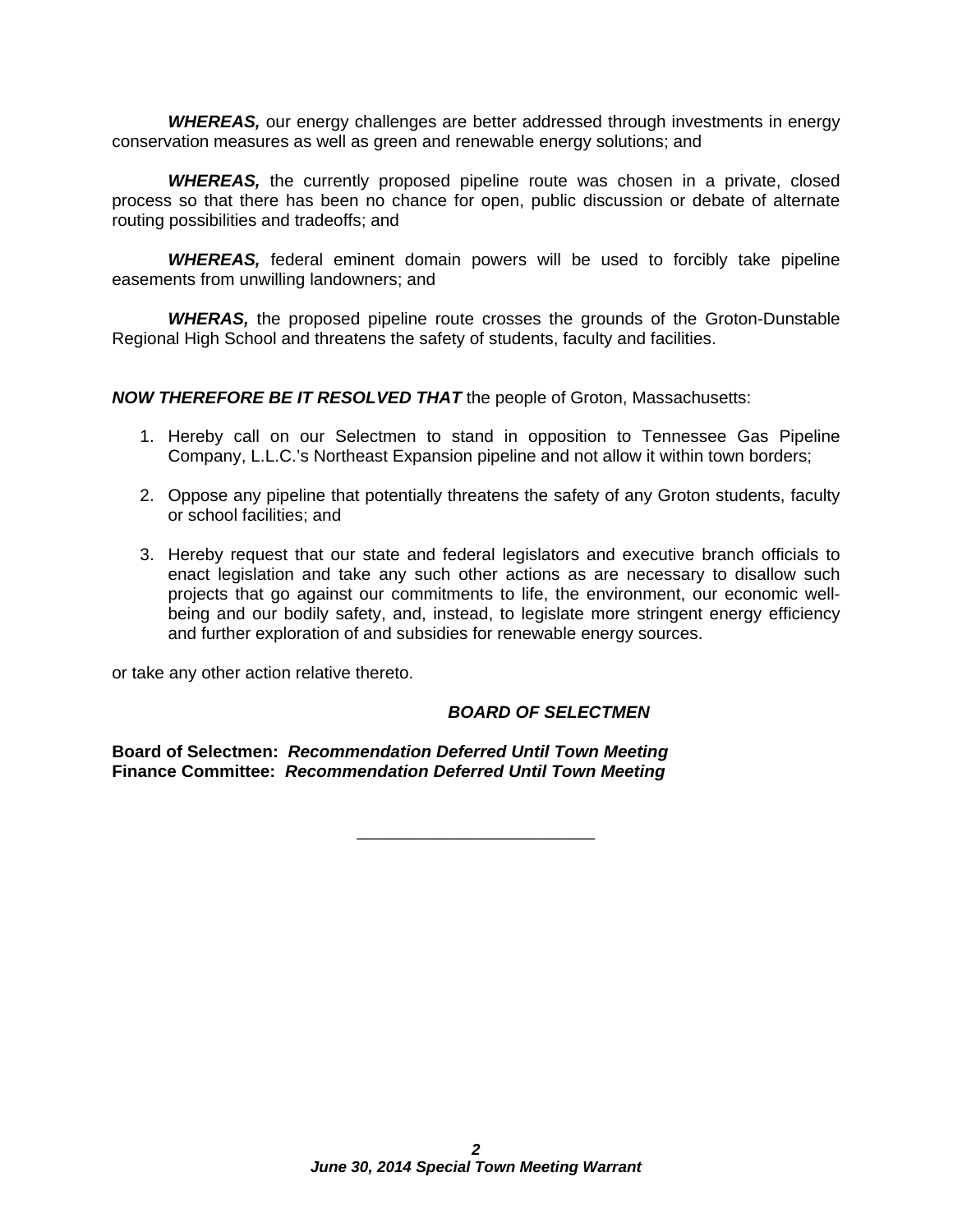*WHEREAS,* our energy challenges are better addressed through investments in energy conservation measures as well as green and renewable energy solutions; and

**WHEREAS,** the currently proposed pipeline route was chosen in a private, closed process so that there has been no chance for open, public discussion or debate of alternate routing possibilities and tradeoffs; and

*WHEREAS,* federal eminent domain powers will be used to forcibly take pipeline easements from unwilling landowners; and

*WHERAS,* the proposed pipeline route crosses the grounds of the Groton-Dunstable Regional High School and threatens the safety of students, faculty and facilities.

*NOW THEREFORE BE IT RESOLVED THAT* the people of Groton, Massachusetts:

- 1. Hereby call on our Selectmen to stand in opposition to Tennessee Gas Pipeline Company, L.L.C.'s Northeast Expansion pipeline and not allow it within town borders;
- 2. Oppose any pipeline that potentially threatens the safety of any Groton students, faculty or school facilities; and
- 3. Hereby request that our state and federal legislators and executive branch officials to enact legislation and take any such other actions as are necessary to disallow such projects that go against our commitments to life, the environment, our economic wellbeing and our bodily safety, and, instead, to legislate more stringent energy efficiency and further exploration of and subsidies for renewable energy sources.

\_\_\_\_\_\_\_\_\_\_\_\_\_\_\_\_\_\_\_\_\_\_\_\_\_

or take any other action relative thereto.

## *BOARD OF SELECTMEN*

**Board of Selectmen:** *Recommendation Deferred Until Town Meeting* **Finance Committee:** *Recommendation Deferred Until Town Meeting*